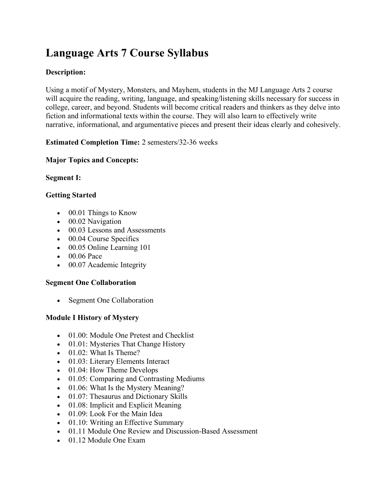# **Language Arts 7 Course Syllabus**

# **Description:**

Using a motif of Mystery, Monsters, and Mayhem, students in the MJ Language Arts 2 course will acquire the reading, writing, language, and speaking/listening skills necessary for success in college, career, and beyond. Students will become critical readers and thinkers as they delve into fiction and informational texts within the course. They will also learn to effectively write narrative, informational, and argumentative pieces and present their ideas clearly and cohesively.

**Estimated Completion Time:** 2 semesters/32-36 weeks

# **Major Topics and Concepts:**

**Segment I:**

# **Getting Started**

- 00.01 Things to Know
- 00.02 Navigation
- 00.03 Lessons and Assessments
- 00.04 Course Specifics
- 00.05 Online Learning 101
- 00.06 Pace
- 00.07 Academic Integrity

## **Segment One Collaboration**

• Segment One Collaboration

# **Module I History of Mystery**

- 01.00: Module One Pretest and Checklist
- 01.01: Mysteries That Change History
- 01.02: What Is Theme?
- 01.03: Literary Elements Interact
- 01.04: How Theme Develops
- 01.05: Comparing and Contrasting Mediums
- 01.06: What Is the Mystery Meaning?
- 01.07: Thesaurus and Dictionary Skills
- 01.08: Implicit and Explicit Meaning
- 01.09: Look For the Main Idea
- 01.10: Writing an Effective Summary
- 01.11 Module One Review and Discussion-Based Assessment
- 01.12 Module One Exam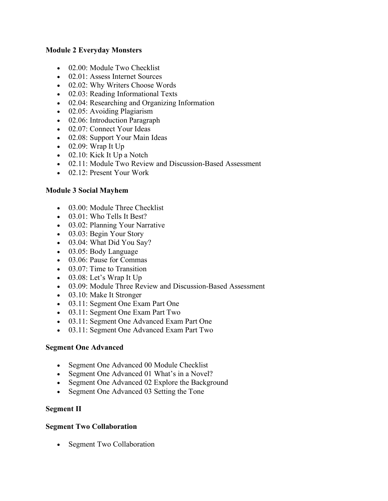#### **Module 2 Everyday Monsters**

- 02.00: Module Two Checklist
- 02.01: Assess Internet Sources
- 02.02: Why Writers Choose Words
- 02.03: Reading Informational Texts
- 02.04: Researching and Organizing Information
- 02.05: Avoiding Plagiarism
- 02.06: Introduction Paragraph
- 02.07: Connect Your Ideas
- 02.08: Support Your Main Ideas
- $\bullet$  02.09: Wrap It Up
- 02.10: Kick It Up a Notch
- 02.11: Module Two Review and Discussion-Based Assessment
- 02.12: Present Your Work

# **Module 3 Social Mayhem**

- 03.00: Module Three Checklist
- 03.01: Who Tells It Best?
- 03.02: Planning Your Narrative
- 03.03: Begin Your Story
- 03.04: What Did You Say?
- 03.05: Body Language
- 03.06: Pause for Commas
- 03.07: Time to Transition
- 03.08: Let's Wrap It Up
- 03.09: Module Three Review and Discussion-Based Assessment
- 03.10: Make It Stronger
- 03.11: Segment One Exam Part One
- 03.11: Segment One Exam Part Two
- 03.11: Segment One Advanced Exam Part One
- 03.11: Segment One Advanced Exam Part Two

## **Segment One Advanced**

- Segment One Advanced 00 Module Checklist
- Segment One Advanced 01 What's in a Novel?
- Segment One Advanced 02 Explore the Background
- Segment One Advanced 03 Setting the Tone

## **Segment II**

## **Segment Two Collaboration**

• Segment Two Collaboration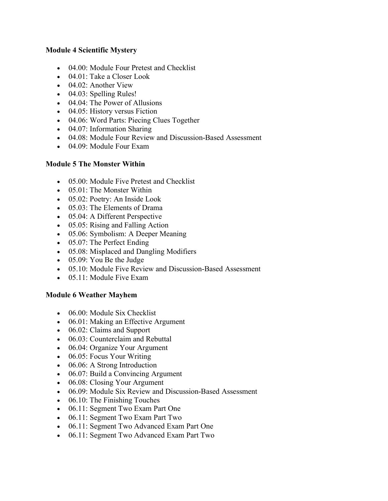#### **Module 4 Scientific Mystery**

- 04.00: Module Four Pretest and Checklist
- 04.01: Take a Closer Look
- 04.02: Another View
- 04.03: Spelling Rules!
- 04.04: The Power of Allusions
- 04.05: History versus Fiction
- 04.06: Word Parts: Piecing Clues Together
- 04.07: Information Sharing
- 04.08: Module Four Review and Discussion-Based Assessment
- 04.09: Module Four Exam

## **Module 5 The Monster Within**

- 05.00: Module Five Pretest and Checklist
- 05.01: The Monster Within
- 05.02: Poetry: An Inside Look
- 05.03: The Elements of Drama
- 05.04: A Different Perspective
- 05.05: Rising and Falling Action
- 05.06: Symbolism: A Deeper Meaning
- 05.07: The Perfect Ending
- 05.08: Misplaced and Dangling Modifiers
- 05.09: You Be the Judge
- 05.10: Module Five Review and Discussion-Based Assessment
- 05.11: Module Five Exam

#### **Module 6 Weather Mayhem**

- 06.00: Module Six Checklist
- 06.01: Making an Effective Argument
- 06.02: Claims and Support
- 06.03: Counterclaim and Rebuttal
- 06.04: Organize Your Argument
- 06.05: Focus Your Writing
- 06.06: A Strong Introduction
- 06.07: Build a Convincing Argument
- 06.08: Closing Your Argument
- 06.09: Module Six Review and Discussion-Based Assessment
- 06.10: The Finishing Touches
- 06.11: Segment Two Exam Part One
- 06.11: Segment Two Exam Part Two
- 06.11: Segment Two Advanced Exam Part One
- 06.11: Segment Two Advanced Exam Part Two